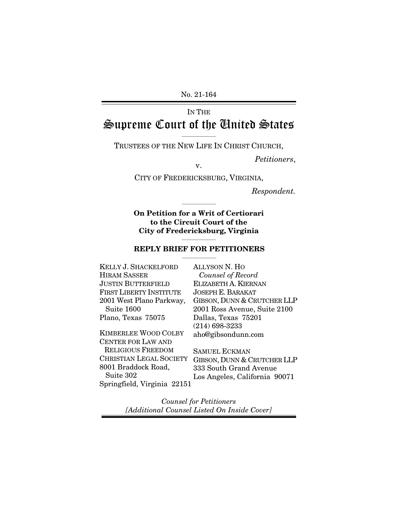No. 21-164

# IN THE Supreme Court of the United States

 $\overline{\phantom{a}}$  ,  $\overline{\phantom{a}}$  ,  $\overline{\phantom{a}}$  ,  $\overline{\phantom{a}}$  ,  $\overline{\phantom{a}}$  ,  $\overline{\phantom{a}}$  ,  $\overline{\phantom{a}}$  ,  $\overline{\phantom{a}}$  ,  $\overline{\phantom{a}}$  ,  $\overline{\phantom{a}}$  ,  $\overline{\phantom{a}}$  ,  $\overline{\phantom{a}}$  ,  $\overline{\phantom{a}}$  ,  $\overline{\phantom{a}}$  ,  $\overline{\phantom{a}}$  ,  $\overline{\phantom{a}}$ TRUSTEES OF THE NEW LIFE IN CHRIST CHURCH,

*Petitioners*, v.

CITY OF FREDERICKSBURG, VIRGINIA,

*Respondent.* 

**On Petition for a Writ of Certiorari to the Circuit Court of the City of Fredericksburg, Virginia** 

 $\overline{\phantom{a}}$  ,  $\overline{\phantom{a}}$  ,  $\overline{\phantom{a}}$  ,  $\overline{\phantom{a}}$  ,  $\overline{\phantom{a}}$  ,  $\overline{\phantom{a}}$  ,  $\overline{\phantom{a}}$  ,  $\overline{\phantom{a}}$  ,  $\overline{\phantom{a}}$  ,  $\overline{\phantom{a}}$  ,  $\overline{\phantom{a}}$  ,  $\overline{\phantom{a}}$  ,  $\overline{\phantom{a}}$  ,  $\overline{\phantom{a}}$  ,  $\overline{\phantom{a}}$  ,  $\overline{\phantom{a}}$ 

#### $\overline{\phantom{a}}$  , and the contract of the contract of  $\overline{\phantom{a}}$ **REPLY BRIEF FOR PETITIONERS**  $\overline{\phantom{a}}$  , where  $\overline{\phantom{a}}$

KELLY J. SHACKELFORD HIRAM SASSER JUSTIN BUTTERFIELD FIRST LIBERTY INSTITUTE 2001 West Plano Parkway, Suite 1600 Plano, Texas 75075 KIMBERLEE WOOD COLBY CENTER FOR LAW AND RELIGIOUS FREEDOM CHRISTIAN LEGAL SOCIETY GIBSON, DUNN & CRUTCHER LLP 8001 Braddock Road, Suite 302

Springfield, Virginia 22151

ALLYSON N. HO *Counsel of Record* ELIZABETH A. KIERNAN JOSEPH E. BARAKAT GIBSON, DUNN & CRUTCHER LLP 2001 Ross Avenue, Suite 2100 Dallas, Texas 75201 (214) 698-3233 aho@gibsondunn.com

SAMUEL ECKMAN 333 South Grand Avenue Los Angeles, California 90071

*Counsel for Petitioners [Additional Counsel Listed On Inside Cover]*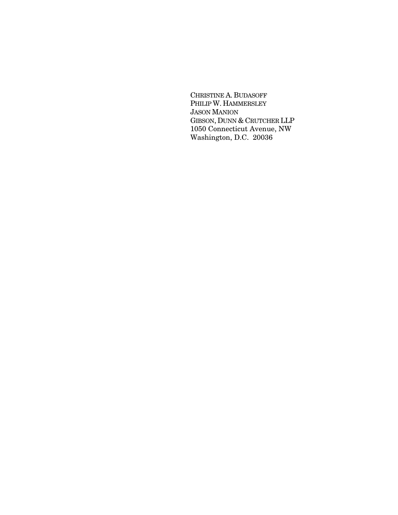CHRISTINE A. BUDASOFF PHILIP W. HAMMERSLEY JASON MANION GIBSON, DUNN & CRUTCHER LLP 1050 Connecticut Avenue, NW Washington, D.C. 20036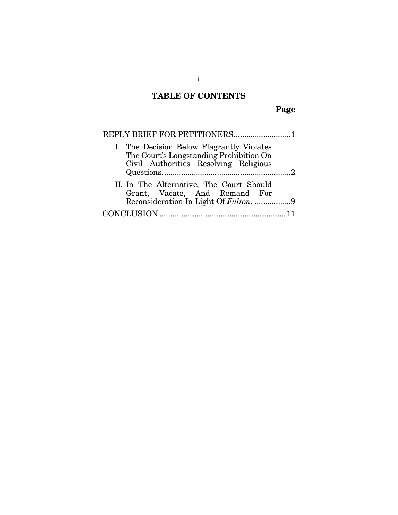# **TABLE OF CONTENTS**

**Page** 

| REPLY BRIEF FOR PETITIONERS1                                                                                                  |                |
|-------------------------------------------------------------------------------------------------------------------------------|----------------|
| I. The Decision Below Flagrantly Violates<br>The Court's Longstanding Prohibition On<br>Civil Authorities Resolving Religious |                |
|                                                                                                                               | $\overline{2}$ |
| II. In The Alternative, The Court Should<br>Grant, Vacate, And Remand For<br>Reconsideration In Light Of Fulton. 9            |                |
|                                                                                                                               |                |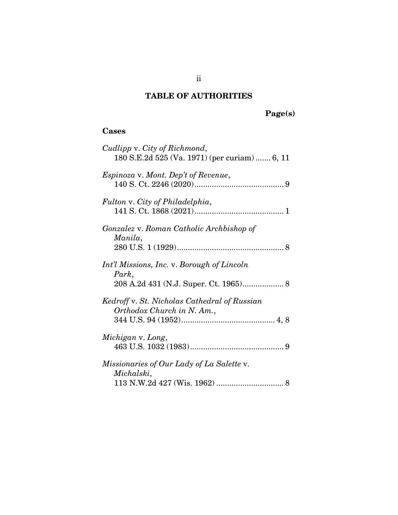## **TABLE OF AUTHORITIES**

# **Page(s)**

## **Cases**

| Cudlipp v. City of Richmond,<br>180 S.E.2d 525 (Va. 1971) (per curiam)  6, 11 |
|-------------------------------------------------------------------------------|
| Espinoza v. Mont. Dep't of Revenue,                                           |
| Fulton v. City of Philadelphia,                                               |
| Gonzalez v. Roman Catholic Archbishop of<br>Manila,                           |
| Int'l Missions, Inc. v. Borough of Lincoln<br>Park,                           |
| Kedroff v. St. Nicholas Cathedral of Russian<br>Orthodox Church in N. Am.,    |
| Michigan v. Long,                                                             |
| Missionaries of Our Lady of La Salette v.<br>Michalski,                       |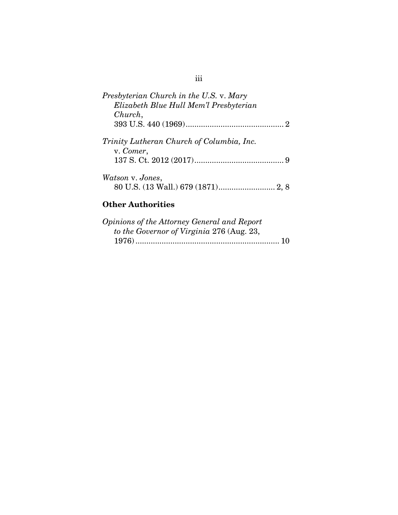| Presbyterian Church in the U.S. v. Mary<br>Elizabeth Blue Hull Mem'l Presbyterian |
|-----------------------------------------------------------------------------------|
| Church,                                                                           |
|                                                                                   |
| Trinity Lutheran Church of Columbia, Inc.<br>v. Comer,                            |
|                                                                                   |
| Watson v. Jones,                                                                  |

## **Other Authorities**

| Opinions of the Attorney General and Report |
|---------------------------------------------|
| to the Governor of Virginia 276 (Aug. 23,   |
|                                             |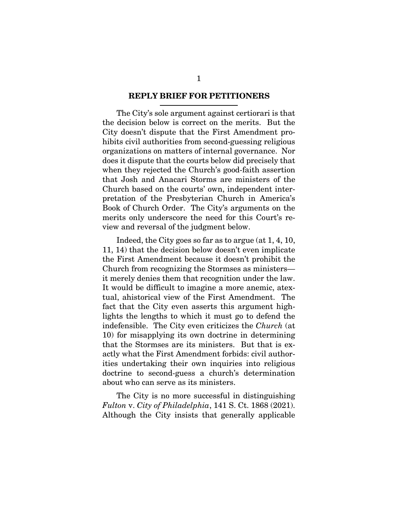#### **REPLY BRIEF FOR PETITIONERS**

The City's sole argument against certiorari is that the decision below is correct on the merits. But the City doesn't dispute that the First Amendment prohibits civil authorities from second-guessing religious organizations on matters of internal governance. Nor does it dispute that the courts below did precisely that when they rejected the Church's good-faith assertion that Josh and Anacari Storms are ministers of the Church based on the courts' own, independent interpretation of the Presbyterian Church in America's Book of Church Order. The City's arguments on the merits only underscore the need for this Court's review and reversal of the judgment below.

Indeed, the City goes so far as to argue (at 1, 4, 10, 11, 14) that the decision below doesn't even implicate the First Amendment because it doesn't prohibit the Church from recognizing the Stormses as ministers it merely denies them that recognition under the law. It would be difficult to imagine a more anemic, atextual, ahistorical view of the First Amendment. The fact that the City even asserts this argument highlights the lengths to which it must go to defend the indefensible. The City even criticizes the *Church* (at 10) for misapplying its own doctrine in determining that the Stormses are its ministers. But that is exactly what the First Amendment forbids: civil authorities undertaking their own inquiries into religious doctrine to second-guess a church's determination about who can serve as its ministers.

The City is no more successful in distinguishing *Fulton* v. *City of Philadelphia*, 141 S. Ct. 1868 (2021). Although the City insists that generally applicable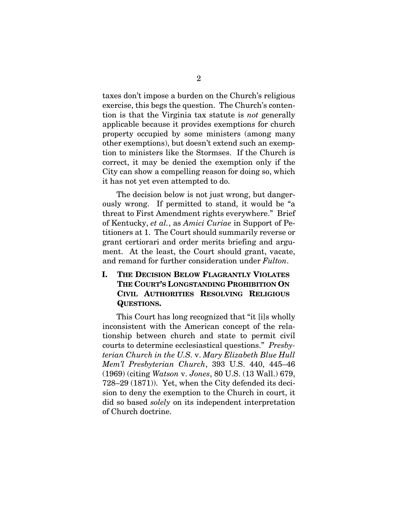taxes don't impose a burden on the Church's religious exercise, this begs the question. The Church's contention is that the Virginia tax statute is *not* generally applicable because it provides exemptions for church property occupied by some ministers (among many other exemptions), but doesn't extend such an exemption to ministers like the Stormses. If the Church is correct, it may be denied the exemption only if the City can show a compelling reason for doing so, which it has not yet even attempted to do.

The decision below is not just wrong, but dangerously wrong. If permitted to stand, it would be "a threat to First Amendment rights everywhere." Brief of Kentucky, *et al.*, as *Amici Curiae* in Support of Petitioners at 1. The Court should summarily reverse or grant certiorari and order merits briefing and argument. At the least, the Court should grant, vacate, and remand for further consideration under *Fulton*.

### **I. THE DECISION BELOW FLAGRANTLY VIOLATES THE COURT'S LONGSTANDING PROHIBITION ON CIVIL AUTHORITIES RESOLVING RELIGIOUS QUESTIONS.**

This Court has long recognized that "it [i]s wholly inconsistent with the American concept of the relationship between church and state to permit civil courts to determine ecclesiastical questions." *Presbyterian Church in the U.S.* v. *Mary Elizabeth Blue Hull Mem'l Presbyterian Church*, 393 U.S. 440, 445–46 (1969) (citing *Watson* v. *Jones*, 80 U.S. (13 Wall.) 679, 728–29 (1871)). Yet, when the City defended its decision to deny the exemption to the Church in court, it did so based *solely* on its independent interpretation of Church doctrine.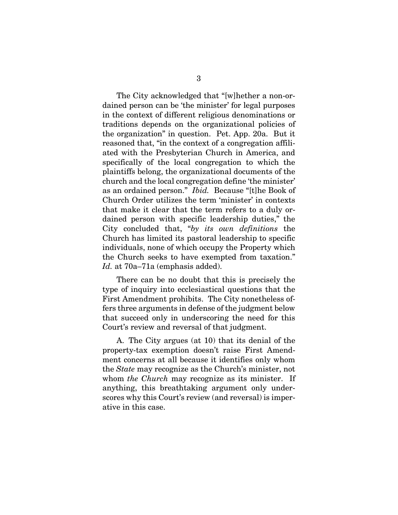The City acknowledged that "[w]hether a non-ordained person can be 'the minister' for legal purposes in the context of different religious denominations or traditions depends on the organizational policies of the organization" in question. Pet. App. 20a. But it reasoned that, "in the context of a congregation affiliated with the Presbyterian Church in America, and specifically of the local congregation to which the plaintiffs belong, the organizational documents of the church and the local congregation define 'the minister' as an ordained person." *Ibid.* Because "[t]he Book of Church Order utilizes the term 'minister' in contexts that make it clear that the term refers to a duly ordained person with specific leadership duties," the City concluded that, "*by its own definitions* the Church has limited its pastoral leadership to specific individuals, none of which occupy the Property which the Church seeks to have exempted from taxation." *Id.* at 70a–71a (emphasis added).

There can be no doubt that this is precisely the type of inquiry into ecclesiastical questions that the First Amendment prohibits. The City nonetheless offers three arguments in defense of the judgment below that succeed only in underscoring the need for this Court's review and reversal of that judgment.

A. The City argues (at 10) that its denial of the property-tax exemption doesn't raise First Amendment concerns at all because it identifies only whom the *State* may recognize as the Church's minister, not whom *the Church* may recognize as its minister. If anything, this breathtaking argument only underscores why this Court's review (and reversal) is imperative in this case.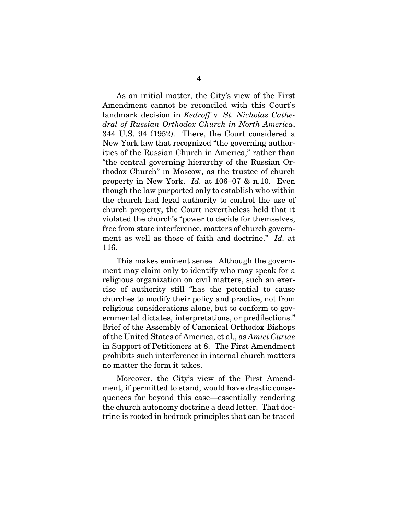As an initial matter, the City's view of the First Amendment cannot be reconciled with this Court's landmark decision in *Kedroff* v. *St. Nicholas Cathedral of Russian Orthodox Church in North America*, 344 U.S. 94 (1952). There, the Court considered a New York law that recognized "the governing authorities of the Russian Church in America," rather than "the central governing hierarchy of the Russian Orthodox Church" in Moscow, as the trustee of church property in New York. *Id.* at 106–07 & n.10. Even though the law purported only to establish who within the church had legal authority to control the use of church property, the Court nevertheless held that it violated the church's "power to decide for themselves, free from state interference, matters of church government as well as those of faith and doctrine." *Id.* at 116.

This makes eminent sense. Although the government may claim only to identify who may speak for a religious organization on civil matters, such an exercise of authority still "has the potential to cause churches to modify their policy and practice, not from religious considerations alone, but to conform to governmental dictates, interpretations, or predilections." Brief of the Assembly of Canonical Orthodox Bishops of the United States of America, et al., as *Amici Curiae*  in Support of Petitioners at 8. The First Amendment prohibits such interference in internal church matters no matter the form it takes.

Moreover, the City's view of the First Amendment, if permitted to stand, would have drastic consequences far beyond this case—essentially rendering the church autonomy doctrine a dead letter. That doctrine is rooted in bedrock principles that can be traced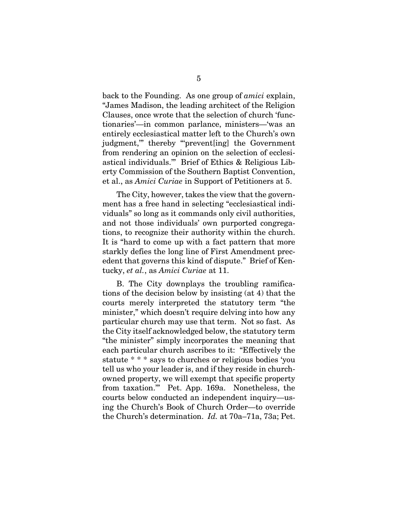back to the Founding. As one group of *amici* explain, "James Madison, the leading architect of the Religion Clauses, once wrote that the selection of church 'functionaries'—in common parlance, ministers—'was an entirely ecclesiastical matter left to the Church's own judgment,'" thereby "'prevent[ing] the Government from rendering an opinion on the selection of ecclesiastical individuals.'" Brief of Ethics & Religious Liberty Commission of the Southern Baptist Convention, et al., as *Amici Curiae* in Support of Petitioners at 5.

The City, however, takes the view that the government has a free hand in selecting "ecclesiastical individuals" so long as it commands only civil authorities, and not those individuals' own purported congregations, to recognize their authority within the church. It is "hard to come up with a fact pattern that more starkly defies the long line of First Amendment precedent that governs this kind of dispute." Brief of Kentucky, *et al.*, as *Amici Curiae* at 11.

B.The City downplays the troubling ramifications of the decision below by insisting (at 4) that the courts merely interpreted the statutory term "the minister," which doesn't require delving into how any particular church may use that term. Not so fast. As the City itself acknowledged below, the statutory term "the minister" simply incorporates the meaning that each particular church ascribes to it: "Effectively the statute \* \* \* says to churches or religious bodies 'you tell us who your leader is, and if they reside in churchowned property, we will exempt that specific property from taxation.'" Pet. App. 169a. Nonetheless, the courts below conducted an independent inquiry—using the Church's Book of Church Order—to override the Church's determination. *Id.* at 70a–71a, 73a; Pet.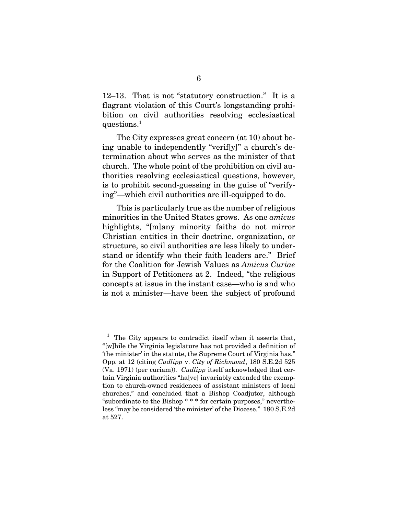12–13. That is not "statutory construction." It is a flagrant violation of this Court's longstanding prohibition on civil authorities resolving ecclesiastical questions.<sup>1</sup>

The City expresses great concern (at 10) about being unable to independently "verif[y]" a church's determination about who serves as the minister of that church. The whole point of the prohibition on civil authorities resolving ecclesiastical questions, however, is to prohibit second-guessing in the guise of "verifying"—which civil authorities are ill-equipped to do.

This is particularly true as the number of religious minorities in the United States grows. As one *amicus* highlights, "[m]any minority faiths do not mirror Christian entities in their doctrine, organization, or structure, so civil authorities are less likely to understand or identify who their faith leaders are." Brief for the Coalition for Jewish Values as *Amicus Curiae* in Support of Petitioners at 2. Indeed, "the religious concepts at issue in the instant case—who is and who is not a minister—have been the subject of profound

l

 $<sup>1</sup>$  The City appears to contradict itself when it asserts that,</sup> "[w]hile the Virginia legislature has not provided a definition of 'the minister' in the statute, the Supreme Court of Virginia has." Opp. at 12 (citing *Cudlipp* v. *City of Richmond*, 180 S.E.2d 525 (Va. 1971) (per curiam)). *Cudlipp* itself acknowledged that certain Virginia authorities "ha[ve] invariably extended the exemption to church-owned residences of assistant ministers of local churches," and concluded that a Bishop Coadjutor, although "subordinate to the Bishop \* \* \* for certain purposes," nevertheless "may be considered 'the minister' of the Diocese." 180 S.E.2d at 527.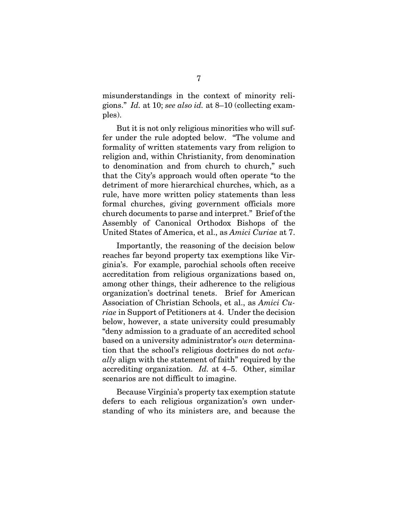misunderstandings in the context of minority religions." *Id.* at 10; *see also id.* at 8–10 (collecting examples).

But it is not only religious minorities who will suffer under the rule adopted below. "The volume and formality of written statements vary from religion to religion and, within Christianity, from denomination to denomination and from church to church," such that the City's approach would often operate "to the detriment of more hierarchical churches, which, as a rule, have more written policy statements than less formal churches, giving government officials more church documents to parse and interpret." Brief of the Assembly of Canonical Orthodox Bishops of the United States of America, et al., as *Amici Curiae* at 7.

Importantly, the reasoning of the decision below reaches far beyond property tax exemptions like Virginia's. For example, parochial schools often receive accreditation from religious organizations based on, among other things, their adherence to the religious organization's doctrinal tenets. Brief for American Association of Christian Schools, et al., as *Amici Curiae* in Support of Petitioners at 4. Under the decision below, however, a state university could presumably "deny admission to a graduate of an accredited school based on a university administrator's *own* determination that the school's religious doctrines do not *actually* align with the statement of faith" required by the accrediting organization. *Id.* at 4–5. Other, similar scenarios are not difficult to imagine.

Because Virginia's property tax exemption statute defers to each religious organization's own understanding of who its ministers are, and because the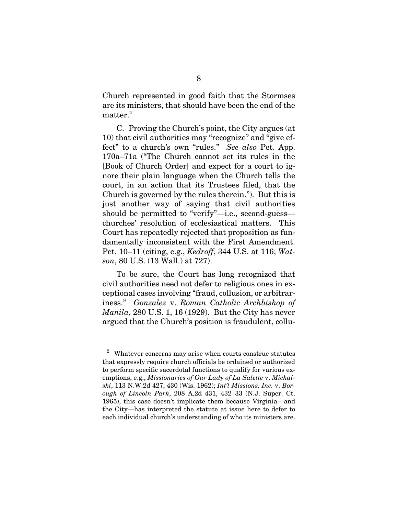Church represented in good faith that the Stormses are its ministers, that should have been the end of the  $matter.<sup>2</sup>$ 

C. Proving the Church's point, the City argues (at 10) that civil authorities may "recognize" and "give effect" to a church's own "rules." *See also* Pet. App. 170a–71a ("The Church cannot set its rules in the [Book of Church Order] and expect for a court to ignore their plain language when the Church tells the court, in an action that its Trustees filed, that the Church is governed by the rules therein."). But this is just another way of saying that civil authorities should be permitted to "verify"—i.e., second-guess churches' resolution of ecclesiastical matters. This Court has repeatedly rejected that proposition as fundamentally inconsistent with the First Amendment. Pet. 10–11 (citing, e.g., *Kedroff*, 344 U.S. at 116; *Watson*, 80 U.S. (13 Wall.) at 727).

To be sure, the Court has long recognized that civil authorities need not defer to religious ones in exceptional cases involving "fraud, collusion, or arbitrariness." *Gonzalez* v. *Roman Catholic Archbishop of Manila*, 280 U.S. 1, 16 (1929). But the City has never argued that the Church's position is fraudulent, collu-

j

 $2$  Whatever concerns may arise when courts construe statutes that expressly require church officials be ordained or authorized to perform specific sacerdotal functions to qualify for various exemptions, e.g., *Missionaries of Our Lady of La Salette* v. *Michalski*, 113 N.W.2d 427, 430 (Wis. 1962); *Int'l Missions, Inc.* v. *Borough of Lincoln Park*, 208 A.2d 431, 432–33 (N.J. Super. Ct. 1965), this case doesn't implicate them because Virginia—and the City—has interpreted the statute at issue here to defer to each individual church's understanding of who its ministers are.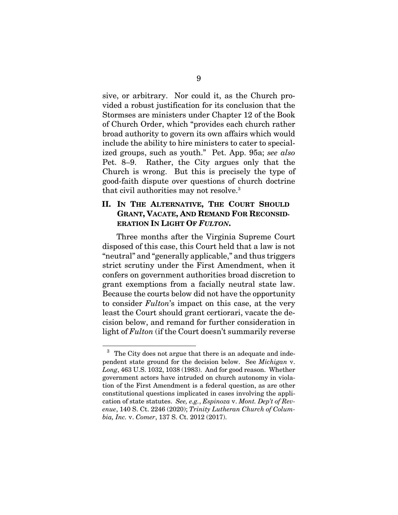sive, or arbitrary. Nor could it, as the Church provided a robust justification for its conclusion that the Stormses are ministers under Chapter 12 of the Book of Church Order, which "provides each church rather broad authority to govern its own affairs which would include the ability to hire ministers to cater to specialized groups, such as youth." Pet. App. 95a; *see also*  Pet. 8–9. Rather, the City argues only that the Church is wrong. But this is precisely the type of good-faith dispute over questions of church doctrine that civil authorities may not resolve.<sup>3</sup>

### **II. IN THE ALTERNATIVE, THE COURT SHOULD GRANT, VACATE, AND REMAND FOR RECONSID-ERATION IN LIGHT OF** *FULTON***.**

Three months after the Virginia Supreme Court disposed of this case, this Court held that a law is not "neutral" and "generally applicable," and thus triggers strict scrutiny under the First Amendment, when it confers on government authorities broad discretion to grant exemptions from a facially neutral state law. Because the courts below did not have the opportunity to consider *Fulton*'s impact on this case, at the very least the Court should grant certiorari, vacate the decision below, and remand for further consideration in light of *Fulton* (if the Court doesn't summarily reverse

j

 $3$  The City does not argue that there is an adequate and independent state ground for the decision below. See *Michigan* v. *Long*, 463 U.S. 1032, 1038 (1983). And for good reason. Whether government actors have intruded on church autonomy in violation of the First Amendment is a federal question, as are other constitutional questions implicated in cases involving the application of state statutes. *See, e.g.*, *Espinoza* v. *Mont. Dep't of Revenue*, 140 S. Ct. 2246 (2020); *Trinity Lutheran Church of Columbia, Inc.* v. *Comer*, 137 S. Ct. 2012 (2017).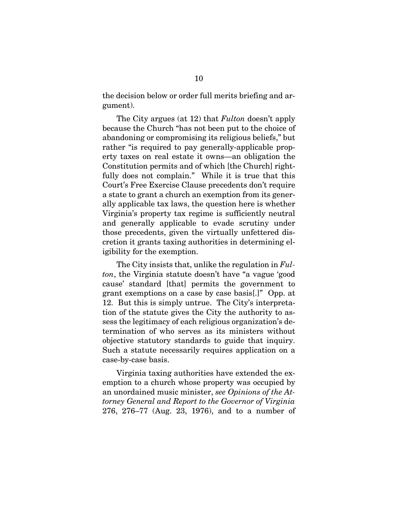the decision below or order full merits briefing and argument).

The City argues (at 12) that *Fulton* doesn't apply because the Church "has not been put to the choice of abandoning or compromising its religious beliefs," but rather "is required to pay generally-applicable property taxes on real estate it owns—an obligation the Constitution permits and of which [the Church] rightfully does not complain." While it is true that this Court's Free Exercise Clause precedents don't require a state to grant a church an exemption from its generally applicable tax laws, the question here is whether Virginia's property tax regime is sufficiently neutral and generally applicable to evade scrutiny under those precedents, given the virtually unfettered discretion it grants taxing authorities in determining eligibility for the exemption.

The City insists that, unlike the regulation in *Fulton*, the Virginia statute doesn't have "a vague 'good cause' standard [that] permits the government to grant exemptions on a case by case basis[.]" Opp. at 12. But this is simply untrue. The City's interpretation of the statute gives the City the authority to assess the legitimacy of each religious organization's determination of who serves as its ministers without objective statutory standards to guide that inquiry. Such a statute necessarily requires application on a case-by-case basis.

Virginia taxing authorities have extended the exemption to a church whose property was occupied by an unordained music minister, *see Opinions of the Attorney General and Report to the Governor of Virginia* 276, 276–77 (Aug. 23, 1976), and to a number of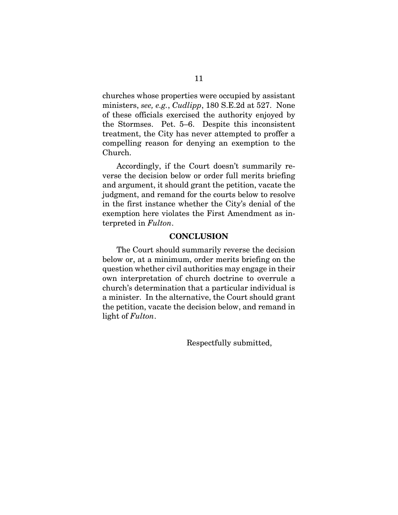churches whose properties were occupied by assistant ministers, *see, e.g.*, *Cudlipp*, 180 S.E.2d at 527. None of these officials exercised the authority enjoyed by the Stormses. Pet. 5–6. Despite this inconsistent treatment, the City has never attempted to proffer a compelling reason for denying an exemption to the Church.

Accordingly, if the Court doesn't summarily reverse the decision below or order full merits briefing and argument, it should grant the petition, vacate the judgment, and remand for the courts below to resolve in the first instance whether the City's denial of the exemption here violates the First Amendment as interpreted in *Fulton*.

### **CONCLUSION**

The Court should summarily reverse the decision below or, at a minimum, order merits briefing on the question whether civil authorities may engage in their own interpretation of church doctrine to overrule a church's determination that a particular individual is a minister. In the alternative, the Court should grant the petition, vacate the decision below, and remand in light of *Fulton*.

Respectfully submitted,